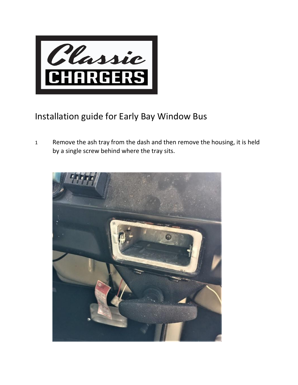

## Installation guide for Early Bay Window Bus

1 Remove the ash tray from the dash and then remove the housing, it is held by a single screw behind where the tray sits.

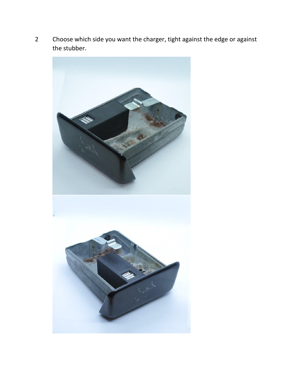2 Choose which side you want the charger, tight against the edge or against the stubber.

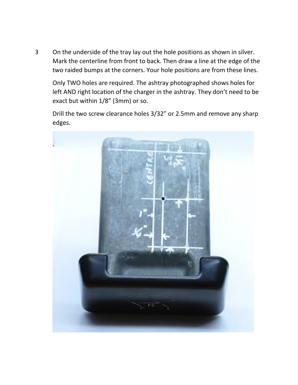3 On the underside of the tray lay out the hole positions as shown in silver. Mark the centerline from front to back. Then draw a line at the edge of the two raided bumps at the corners. Your hole positions are from these lines.

Only TWO holes are required. The ashtray photographed shows holes for left AND right location of the charger in the ashtray. They don't need to be exact but within 1/8" (3mm) or so.

Drill the two screw clearance holes 3/32" or 2.5mm and remove any sharp edges.

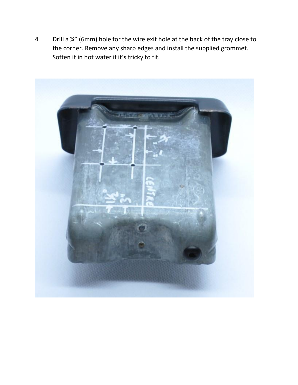4 Drill a ¼" (6mm) hole for the wire exit hole at the back of the tray close to the corner. Remove any sharp edges and install the supplied grommet. Soften it in hot water if it's tricky to fit.

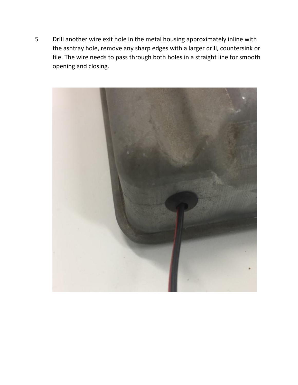5 Drill another wire exit hole in the metal housing approximately inline with the ashtray hole, remove any sharp edges with a larger drill, countersink or file. The wire needs to pass through both holes in a straight line for smooth opening and closing.

![](_page_4_Picture_1.jpeg)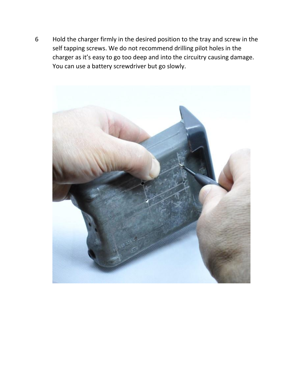6 Hold the charger firmly in the desired position to the tray and screw in the self tapping screws. We do not recommend drilling pilot holes in the charger as it's easy to go too deep and into the circuitry causing damage. You can use a battery screwdriver but go slowly.

![](_page_5_Picture_1.jpeg)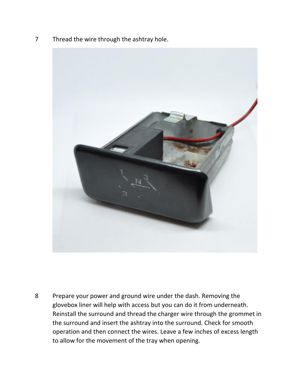7 Thread the wire through the ashtray hole.

![](_page_6_Picture_1.jpeg)

8 Prepare your power and ground wire under the dash. Removing the glovebox liner will help with access but you can do it from underneath. Reinstall the surround and thread the charger wire through the grommet in the surround and insert the ashtray into the surround. Check for smooth operation and then connect the wires. Leave a few inches of excess length to allow for the movement of the tray when opening.